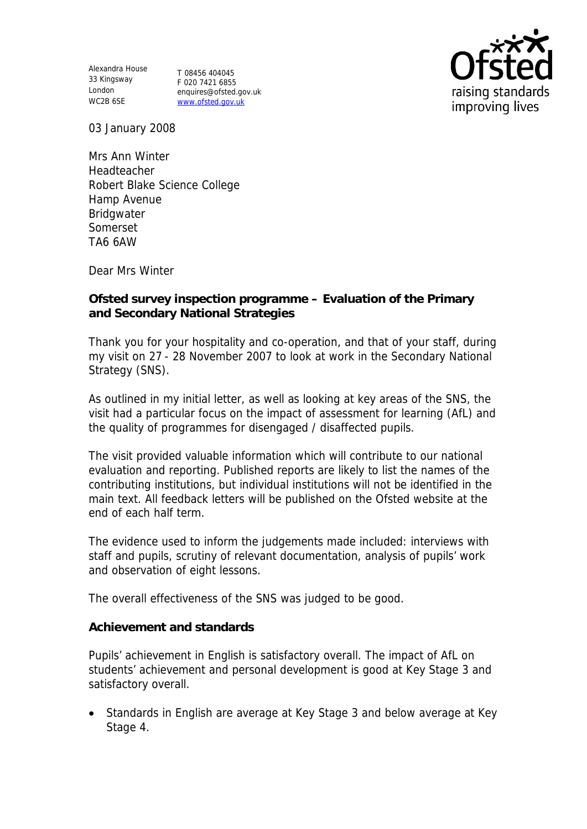Alexandra House 33 Kingsway London WC2B 6SE

T 08456 404045 F 020 7421 6855 enquires@ofsted.gov.uk www.ofsted.gov.uk



03 January 2008

Mrs Ann Winter Headteacher Robert Blake Science College Hamp Avenue Bridgwater Somerset TA6 6AW

Dear Mrs Winter

**Ofsted survey inspection programme – Evaluation of the Primary and Secondary National Strategies**

Thank you for your hospitality and co-operation, and that of your staff, during my visit on 27 - 28 November 2007 to look at work in the Secondary National Strategy (SNS).

As outlined in my initial letter, as well as looking at key areas of the SNS, the visit had a particular focus on the impact of assessment for learning (AfL) and the quality of programmes for disengaged / disaffected pupils.

The visit provided valuable information which will contribute to our national evaluation and reporting. Published reports are likely to list the names of the contributing institutions, but individual institutions will not be identified in the main text. All feedback letters will be published on the Ofsted website at the end of each half term.

The evidence used to inform the judgements made included: interviews with staff and pupils, scrutiny of relevant documentation, analysis of pupils' work and observation of eight lessons.

The overall effectiveness of the SNS was judged to be good.

**Achievement and standards**

Pupils' achievement in English is satisfactory overall. The impact of AfL on students' achievement and personal development is good at Key Stage 3 and satisfactory overall.

• Standards in English are average at Key Stage 3 and below average at Key Stage 4.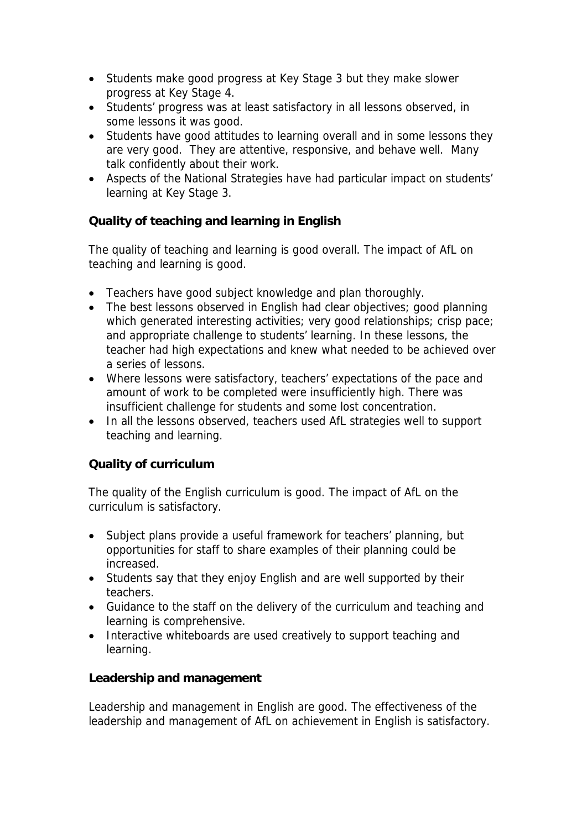- Students make good progress at Key Stage 3 but they make slower progress at Key Stage 4.
- Students' progress was at least satisfactory in all lessons observed, in some lessons it was good.
- Students have good attitudes to learning overall and in some lessons they are very good. They are attentive, responsive, and behave well. Many talk confidently about their work.
- Aspects of the National Strategies have had particular impact on students' learning at Key Stage 3.

## **Quality of teaching and learning in English**

The quality of teaching and learning is good overall. The impact of AfL on teaching and learning is good.

- Teachers have good subject knowledge and plan thoroughly.
- The best lessons observed in English had clear objectives; good planning which generated interesting activities; very good relationships; crisp pace; and appropriate challenge to students' learning. In these lessons, the teacher had high expectations and knew what needed to be achieved over a series of lessons.
- Where lessons were satisfactory, teachers' expectations of the pace and amount of work to be completed were insufficiently high. There was insufficient challenge for students and some lost concentration.
- In all the lessons observed, teachers used AfL strategies well to support teaching and learning.

## **Quality of curriculum**

The quality of the English curriculum is good. The impact of AfL on the curriculum is satisfactory.

- Subject plans provide a useful framework for teachers' planning, but opportunities for staff to share examples of their planning could be increased.
- Students say that they enjoy English and are well supported by their teachers.
- Guidance to the staff on the delivery of the curriculum and teaching and learning is comprehensive.
- Interactive whiteboards are used creatively to support teaching and learning.

## **Leadership and management**

Leadership and management in English are good. The effectiveness of the leadership and management of AfL on achievement in English is satisfactory.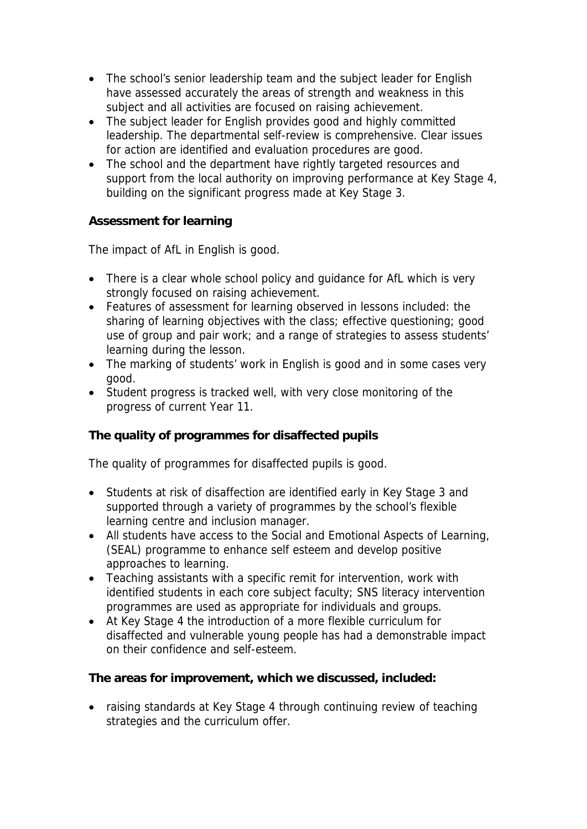- The school's senior leadership team and the subject leader for English have assessed accurately the areas of strength and weakness in this subject and all activities are focused on raising achievement.
- The subject leader for English provides good and highly committed leadership. The departmental self-review is comprehensive. Clear issues for action are identified and evaluation procedures are good.
- The school and the department have rightly targeted resources and support from the local authority on improving performance at Key Stage 4, building on the significant progress made at Key Stage 3.

**Assessment for learning**

The impact of AfL in English is good.

- There is a clear whole school policy and quidance for AfL which is very strongly focused on raising achievement.
- Features of assessment for learning observed in lessons included: the sharing of learning objectives with the class; effective questioning; good use of group and pair work; and a range of strategies to assess students' learning during the lesson.
- The marking of students' work in English is good and in some cases very good.
- Student progress is tracked well, with very close monitoring of the progress of current Year 11.

**The quality of programmes for disaffected pupils**

The quality of programmes for disaffected pupils is good.

- Students at risk of disaffection are identified early in Key Stage 3 and supported through a variety of programmes by the school's flexible learning centre and inclusion manager.
- All students have access to the Social and Emotional Aspects of Learning, (SEAL) programme to enhance self esteem and develop positive approaches to learning.
- Teaching assistants with a specific remit for intervention, work with identified students in each core subject faculty; SNS literacy intervention programmes are used as appropriate for individuals and groups.
- At Key Stage 4 the introduction of a more flexible curriculum for disaffected and vulnerable young people has had a demonstrable impact on their confidence and self-esteem.

**The areas for improvement, which we discussed, included:**

• raising standards at Key Stage 4 through continuing review of teaching strategies and the curriculum offer.